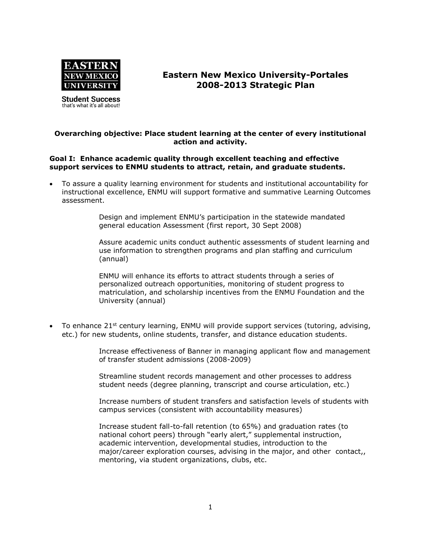

**Student Success** that's what it's all about!

# **Eastern New Mexico University-Portales 2008-2013 Strategic Plan**

## **Overarching objective: Place student learning at the center of every institutional action and activity.**

## **Goal I: Enhance academic quality through excellent teaching and effective support services to ENMU students to attract, retain, and graduate students.**

 To assure a quality learning environment for students and institutional accountability for instructional excellence, ENMU will support formative and summative Learning Outcomes assessment.

> Design and implement ENMU's participation in the statewide mandated general education Assessment (first report, 30 Sept 2008)

Assure academic units conduct authentic assessments of student learning and use information to strengthen programs and plan staffing and curriculum (annual)

ENMU will enhance its efforts to attract students through a series of personalized outreach opportunities, monitoring of student progress to matriculation, and scholarship incentives from the ENMU Foundation and the University (annual)

To enhance  $21^{st}$  century learning, ENMU will provide support services (tutoring, advising, etc.) for new students, online students, transfer, and distance education students.

> Increase effectiveness of Banner in managing applicant flow and management of transfer student admissions (2008-2009)

Streamline student records management and other processes to address student needs (degree planning, transcript and course articulation, etc.)

Increase numbers of student transfers and satisfaction levels of students with campus services (consistent with accountability measures)

Increase student fall-to-fall retention (to 65%) and graduation rates (to national cohort peers) through "early alert," supplemental instruction, academic intervention, developmental studies, introduction to the major/career exploration courses, advising in the major, and other contact,, mentoring, via student organizations, clubs, etc.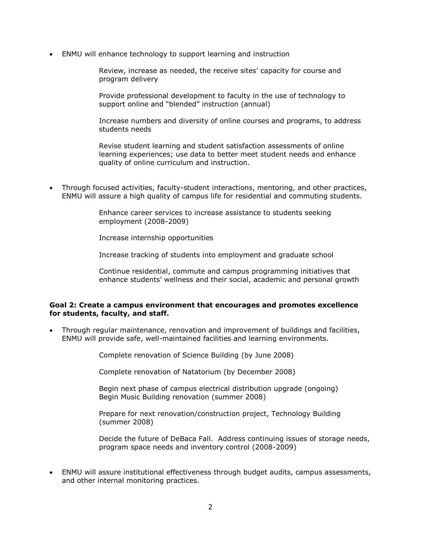ENMU will enhance technology to support learning and instruction

Review, increase as needed, the receive sites' capacity for course and program delivery

Provide professional development to faculty in the use of technology to support online and "blended" instruction (annual)

Increase numbers and diversity of online courses and programs, to address students needs

Revise student learning and student satisfaction assessments of online learning experiences; use data to better meet student needs and enhance quality of online curriculum and instruction.

 Through focused activities, faculty-student interactions, mentoring, and other practices, ENMU will assure a high quality of campus life for residential and commuting students.

> Enhance career services to increase assistance to students seeking employment (2008-2009)

Increase internship opportunities

Increase tracking of students into employment and graduate school

Continue residential, commute and campus programming initiatives that enhance students' wellness and their social, academic and personal growth

### **Goal 2: Create a campus environment that encourages and promotes excellence for students, faculty, and staff.**

 Through regular maintenance, renovation and improvement of buildings and facilities, ENMU will provide safe, well-maintained facilities and learning environments.

Complete renovation of Science Building (by June 2008)

Complete renovation of Natatorium (by December 2008)

Begin next phase of campus electrical distribution upgrade (ongoing) Begin Music Building renovation (summer 2008)

Prepare for next renovation/construction project, Technology Building (summer 2008)

Decide the future of DeBaca Fall. Address continuing issues of storage needs, program space needs and inventory control (2008-2009)

 ENMU will assure institutional effectiveness through budget audits, campus assessments, and other internal monitoring practices.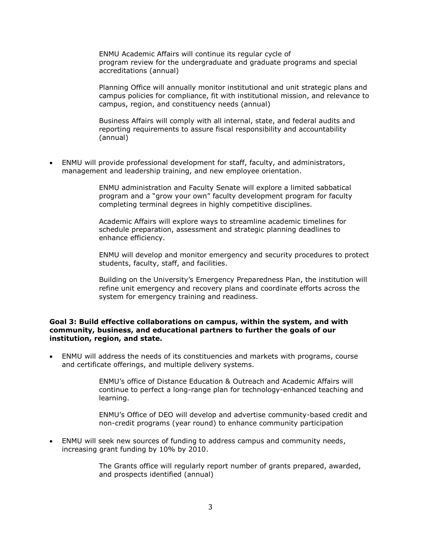ENMU Academic Affairs will continue its regular cycle of program review for the undergraduate and graduate programs and special accreditations (annual)

Planning Office will annually monitor institutional and unit strategic plans and campus policies for compliance, fit with institutional mission, and relevance to campus, region, and constituency needs (annual)

Business Affairs will comply with all internal, state, and federal audits and reporting requirements to assure fiscal responsibility and accountability (annual)

 ENMU will provide professional development for staff, faculty, and administrators, management and leadership training, and new employee orientation.

> ENMU administration and Faculty Senate will explore a limited sabbatical program and a "grow your own" faculty development program for faculty completing terminal degrees in highly competitive disciplines.

Academic Affairs will explore ways to streamline academic timelines for schedule preparation, assessment and strategic planning deadlines to enhance efficiency.

ENMU will develop and monitor emergency and security procedures to protect students, faculty, staff, and facilities.

Building on the University's Emergency Preparedness Plan, the institution will refine unit emergency and recovery plans and coordinate efforts across the system for emergency training and readiness.

#### **Goal 3: Build effective collaborations on campus, within the system, and with community, business, and educational partners to further the goals of our institution, region, and state.**

 ENMU will address the needs of its constituencies and markets with programs, course and certificate offerings, and multiple delivery systems.

> ENMU's office of Distance Education & Outreach and Academic Affairs will continue to perfect a long-range plan for technology-enhanced teaching and learning.

ENMU's Office of DEO will develop and advertise community-based credit and non-credit programs (year round) to enhance community participation

 ENMU will seek new sources of funding to address campus and community needs, increasing grant funding by 10% by 2010.

> The Grants office will regularly report number of grants prepared, awarded, and prospects identified (annual)